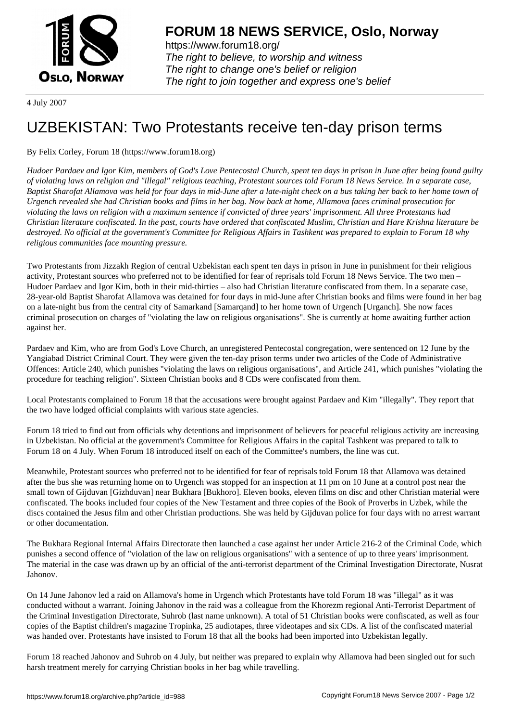

https://www.forum18.org/ The right to believe, to worship and witness The right to change one's belief or religion [The right to join together a](https://www.forum18.org/)nd express one's belief

4 July 2007

## [UZBEKISTAN:](https://www.forum18.org) Two Protestants receive ten-day prison terms

By Felix Corley, Forum 18 (https://www.forum18.org)

*Hudoer Pardaev and Igor Kim, members of God's Love Pentecostal Church, spent ten days in prison in June after being found guilty of violating laws on religion and "illegal" religious teaching, Protestant sources told Forum 18 News Service. In a separate case, Baptist Sharofat Allamova was held for four days in mid-June after a late-night check on a bus taking her back to her home town of Urgench revealed she had Christian books and films in her bag. Now back at home, Allamova faces criminal prosecution for violating the laws on religion with a maximum sentence if convicted of three years' imprisonment. All three Protestants had Christian literature confiscated. In the past, courts have ordered that confiscated Muslim, Christian and Hare Krishna literature be destroyed. No official at the government's Committee for Religious Affairs in Tashkent was prepared to explain to Forum 18 why religious communities face mounting pressure.*

Two Protestants from Jizzakh Region of central Uzbekistan each spent ten days in prison in June in punishment for their religious activity, Protestant sources who preferred not to be identified for fear of reprisals told Forum 18 News Service. The two men – Hudoer Pardaev and Igor Kim, both in their mid-thirties – also had Christian literature confiscated from them. In a separate case, 28-year-old Baptist Sharofat Allamova was detained for four days in mid-June after Christian books and films were found in her bag on a late-night bus from the central city of Samarkand [Samarqand] to her home town of Urgench [Urganch]. She now faces criminal prosecution on charges of "violating the law on religious organisations". She is currently at home awaiting further action against her.

Pardaev and Kim, who are from God's Love Church, an unregistered Pentecostal congregation, were sentenced on 12 June by the Yangiabad District Criminal Court. They were given the ten-day prison terms under two articles of the Code of Administrative Offences: Article 240, which punishes "violating the laws on religious organisations", and Article 241, which punishes "violating the procedure for teaching religion". Sixteen Christian books and 8 CDs were confiscated from them.

Local Protestants complained to Forum 18 that the accusations were brought against Pardaev and Kim "illegally". They report that the two have lodged official complaints with various state agencies.

Forum 18 tried to find out from officials why detentions and imprisonment of believers for peaceful religious activity are increasing in Uzbekistan. No official at the government's Committee for Religious Affairs in the capital Tashkent was prepared to talk to Forum 18 on 4 July. When Forum 18 introduced itself on each of the Committee's numbers, the line was cut.

Meanwhile, Protestant sources who preferred not to be identified for fear of reprisals told Forum 18 that Allamova was detained after the bus she was returning home on to Urgench was stopped for an inspection at 11 pm on 10 June at a control post near the small town of Gijduvan [Gizhduvan] near Bukhara [Bukhoro]. Eleven books, eleven films on disc and other Christian material were confiscated. The books included four copies of the New Testament and three copies of the Book of Proverbs in Uzbek, while the discs contained the Jesus film and other Christian productions. She was held by Gijduvan police for four days with no arrest warrant or other documentation.

The Bukhara Regional Internal Affairs Directorate then launched a case against her under Article 216-2 of the Criminal Code, which punishes a second offence of "violation of the law on religious organisations" with a sentence of up to three years' imprisonment. The material in the case was drawn up by an official of the anti-terrorist department of the Criminal Investigation Directorate, Nusrat Jahonov.

On 14 June Jahonov led a raid on Allamova's home in Urgench which Protestants have told Forum 18 was "illegal" as it was conducted without a warrant. Joining Jahonov in the raid was a colleague from the Khorezm regional Anti-Terrorist Department of the Criminal Investigation Directorate, Suhrob (last name unknown). A total of 51 Christian books were confiscated, as well as four copies of the Baptist children's magazine Tropinka, 25 audiotapes, three videotapes and six CDs. A list of the confiscated material was handed over. Protestants have insisted to Forum 18 that all the books had been imported into Uzbekistan legally.

Forum 18 reached Jahonov and Suhrob on 4 July, but neither was prepared to explain why Allamova had been singled out for such harsh treatment merely for carrying Christian books in her bag while travelling.